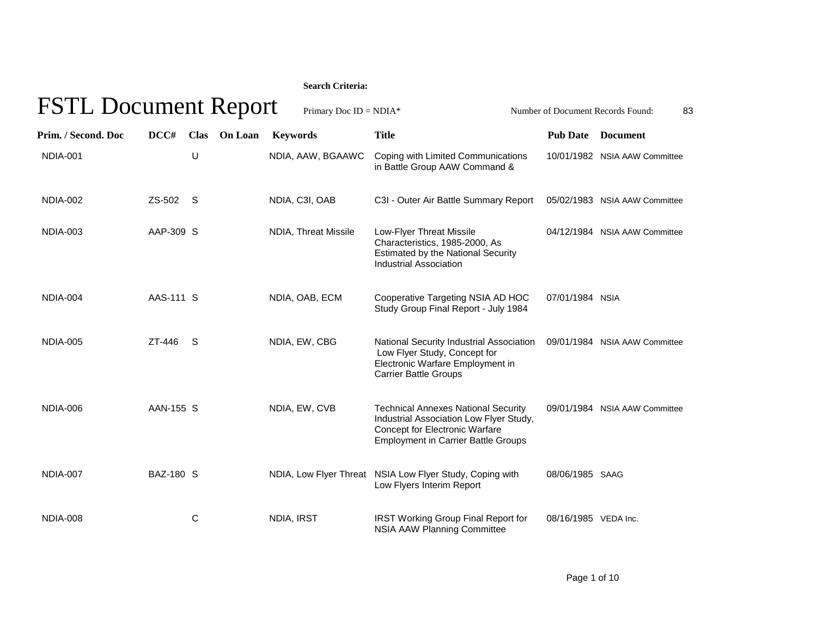## **Search Criteria:**

| <b>FSTL Document Report</b><br>Primary Doc $ID = NDIA*$<br>Number of Document Records Found:<br>83 |           |                               |                      |                                                                                                                                                                       |                      |                               |  |  |  |
|----------------------------------------------------------------------------------------------------|-----------|-------------------------------|----------------------|-----------------------------------------------------------------------------------------------------------------------------------------------------------------------|----------------------|-------------------------------|--|--|--|
| Prim. / Second. Doc                                                                                | DCC#      | <b>Clas</b><br><b>On Loan</b> | <b>Keywords</b>      | <b>Title</b>                                                                                                                                                          | <b>Pub Date</b>      | <b>Document</b>               |  |  |  |
| <b>NDIA-001</b>                                                                                    |           | U                             | NDIA, AAW, BGAAWC    | Coping with Limited Communications<br>in Battle Group AAW Command &                                                                                                   |                      | 10/01/1982 NSIA AAW Committee |  |  |  |
| <b>NDIA-002</b>                                                                                    | ZS-502    | - S                           | NDIA, C3I, OAB       | C3I - Outer Air Battle Summary Report                                                                                                                                 |                      | 05/02/1983 NSIA AAW Committee |  |  |  |
| <b>NDIA-003</b>                                                                                    | AAP-309 S |                               | NDIA, Threat Missile | Low-Flyer Threat Missile<br>Characteristics, 1985-2000, As<br><b>Estimated by the National Security</b><br>Industrial Association                                     |                      | 04/12/1984 NSIA AAW Committee |  |  |  |
| NDIA-004                                                                                           | AAS-111 S |                               | NDIA, OAB, ECM       | Cooperative Targeting NSIA AD HOC<br>Study Group Final Report - July 1984                                                                                             | 07/01/1984 NSIA      |                               |  |  |  |
| <b>NDIA-005</b>                                                                                    | ZT-446    | <sub>S</sub>                  | NDIA, EW, CBG        | National Security Industrial Association<br>Low Flyer Study, Concept for<br>Electronic Warfare Employment in<br><b>Carrier Battle Groups</b>                          |                      | 09/01/1984 NSIA AAW Committee |  |  |  |
| NDIA-006                                                                                           | AAN-155 S |                               | NDIA, EW, CVB        | <b>Technical Annexes National Security</b><br>Industrial Association Low Flyer Study,<br>Concept for Electronic Warfare<br><b>Employment in Carrier Battle Groups</b> |                      | 09/01/1984 NSIA AAW Committee |  |  |  |
| <b>NDIA-007</b>                                                                                    | BAZ-180 S |                               |                      | NDIA, Low Flyer Threat NSIA Low Flyer Study, Coping with<br>Low Flyers Interim Report                                                                                 | 08/06/1985 SAAG      |                               |  |  |  |
| <b>NDIA-008</b>                                                                                    |           | C                             | NDIA, IRST           | <b>IRST Working Group Final Report for</b><br><b>NSIA AAW Planning Committee</b>                                                                                      | 08/16/1985 VEDA Inc. |                               |  |  |  |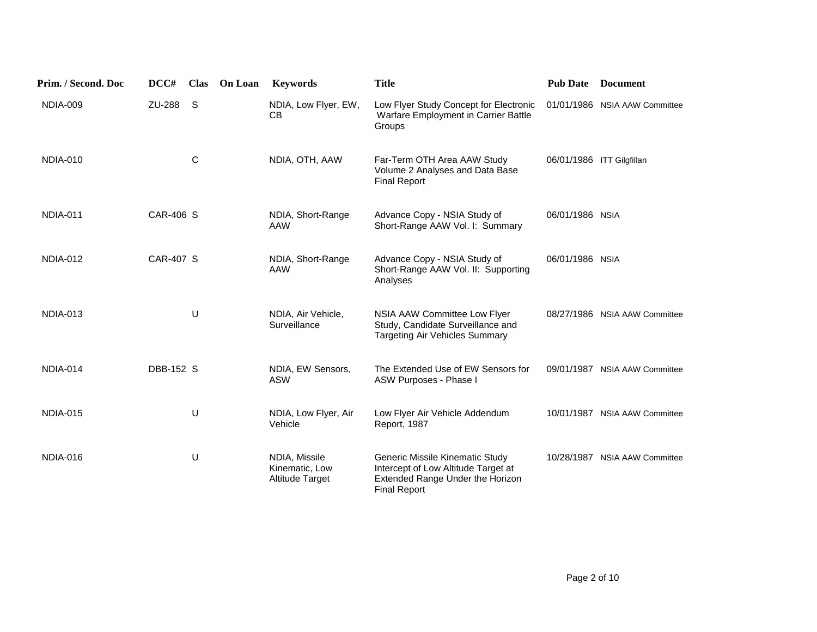| Prim. / Second. Doc | DCC#             | <b>Clas</b> | On Loan | <b>Keywords</b>                                    | <b>Title</b>                                                                                                                      | <b>Pub Date</b>           | <b>Document</b>               |
|---------------------|------------------|-------------|---------|----------------------------------------------------|-----------------------------------------------------------------------------------------------------------------------------------|---------------------------|-------------------------------|
| <b>NDIA-009</b>     | ZU-288           | S.          |         | NDIA, Low Flyer, EW,<br><b>CB</b>                  | Low Flyer Study Concept for Electronic<br>Warfare Employment in Carrier Battle<br>Groups                                          |                           | 01/01/1986 NSIA AAW Committee |
| <b>NDIA-010</b>     |                  | С           |         | NDIA, OTH, AAW                                     | Far-Term OTH Area AAW Study<br>Volume 2 Analyses and Data Base<br><b>Final Report</b>                                             | 06/01/1986 ITT Gilgfillan |                               |
| <b>NDIA-011</b>     | CAR-406 S        |             |         | NDIA, Short-Range<br>AAW                           | Advance Copy - NSIA Study of<br>Short-Range AAW Vol. I: Summary                                                                   | 06/01/1986 NSIA           |                               |
| <b>NDIA-012</b>     | <b>CAR-407 S</b> |             |         | NDIA, Short-Range<br><b>AAW</b>                    | Advance Copy - NSIA Study of<br>Short-Range AAW Vol. II: Supporting<br>Analyses                                                   | 06/01/1986 NSIA           |                               |
| <b>NDIA-013</b>     |                  | U           |         | NDIA, Air Vehicle,<br>Surveillance                 | NSIA AAW Committee Low Flyer<br>Study, Candidate Surveillance and<br><b>Targeting Air Vehicles Summary</b>                        |                           | 08/27/1986 NSIA AAW Committee |
| NDIA-014            | DBB-152 S        |             |         | NDIA, EW Sensors,<br><b>ASW</b>                    | The Extended Use of EW Sensors for<br>ASW Purposes - Phase I                                                                      |                           | 09/01/1987 NSIA AAW Committee |
| <b>NDIA-015</b>     |                  | U           |         | NDIA, Low Flyer, Air<br>Vehicle                    | Low Flyer Air Vehicle Addendum<br>Report, 1987                                                                                    |                           | 10/01/1987 NSIA AAW Committee |
| <b>NDIA-016</b>     |                  | U           |         | NDIA, Missile<br>Kinematic, Low<br>Altitude Target | Generic Missile Kinematic Study<br>Intercept of Low Altitude Target at<br>Extended Range Under the Horizon<br><b>Final Report</b> |                           | 10/28/1987 NSIA AAW Committee |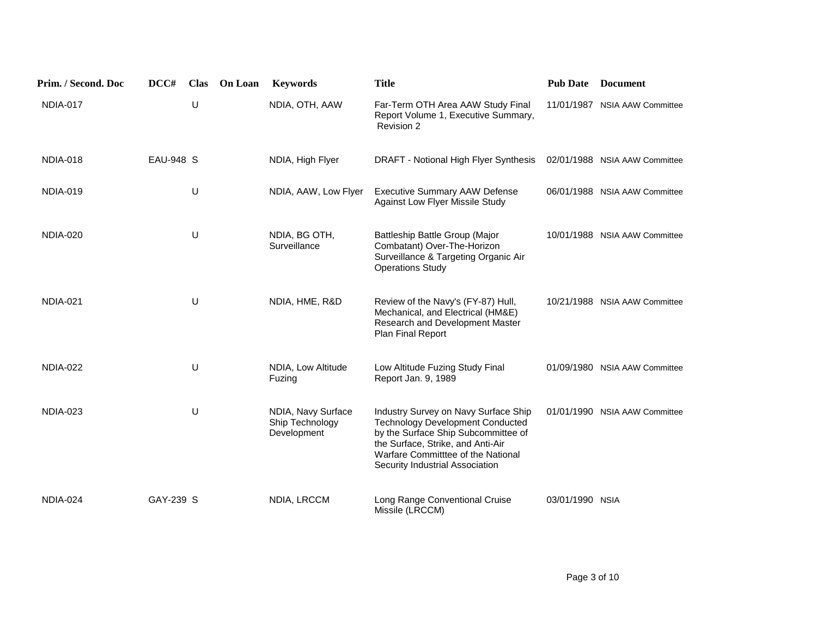| Prim. / Second. Doc | DCC#      | <b>Clas</b> | <b>On Loan</b> | <b>Keywords</b>                                      | <b>Title</b>                                                                                                                                                                                                                         | <b>Pub Date</b> | <b>Document</b>               |
|---------------------|-----------|-------------|----------------|------------------------------------------------------|--------------------------------------------------------------------------------------------------------------------------------------------------------------------------------------------------------------------------------------|-----------------|-------------------------------|
| NDIA-017            |           | U           |                | NDIA, OTH, AAW                                       | Far-Term OTH Area AAW Study Final<br>Report Volume 1, Executive Summary,<br>Revision 2                                                                                                                                               |                 | 11/01/1987 NSIA AAW Committee |
| <b>NDIA-018</b>     | EAU-948 S |             |                | NDIA, High Flyer                                     | DRAFT - Notional High Flyer Synthesis                                                                                                                                                                                                |                 | 02/01/1988 NSIA AAW Committee |
| <b>NDIA-019</b>     |           | U           |                | NDIA, AAW, Low Flyer                                 | <b>Executive Summary AAW Defense</b><br>Against Low Flyer Missile Study                                                                                                                                                              |                 | 06/01/1988 NSIA AAW Committee |
| <b>NDIA-020</b>     |           | U           |                | NDIA, BG OTH,<br>Surveillance                        | Battleship Battle Group (Major<br>Combatant) Over-The-Horizon<br>Surveillance & Targeting Organic Air<br><b>Operations Study</b>                                                                                                     |                 | 10/01/1988 NSIA AAW Committee |
| <b>NDIA-021</b>     |           | U           |                | NDIA, HME, R&D                                       | Review of the Navy's (FY-87) Hull,<br>Mechanical, and Electrical (HM&E)<br>Research and Development Master<br>Plan Final Report                                                                                                      |                 | 10/21/1988 NSIA AAW Committee |
| <b>NDIA-022</b>     |           | U           |                | NDIA, Low Altitude<br>Fuzing                         | Low Altitude Fuzing Study Final<br>Report Jan. 9, 1989                                                                                                                                                                               |                 | 01/09/1980 NSIA AAW Committee |
| <b>NDIA-023</b>     |           | U           |                | NDIA, Navy Surface<br>Ship Technology<br>Development | Industry Survey on Navy Surface Ship<br><b>Technology Development Conducted</b><br>by the Surface Ship Subcommittee of<br>the Surface, Strike, and Anti-Air<br>Warfare Committtee of the National<br>Security Industrial Association |                 | 01/01/1990 NSIA AAW Committee |
| <b>NDIA-024</b>     | GAY-239 S |             |                | NDIA, LRCCM                                          | Long Range Conventional Cruise<br>Missile (LRCCM)                                                                                                                                                                                    | 03/01/1990 NSIA |                               |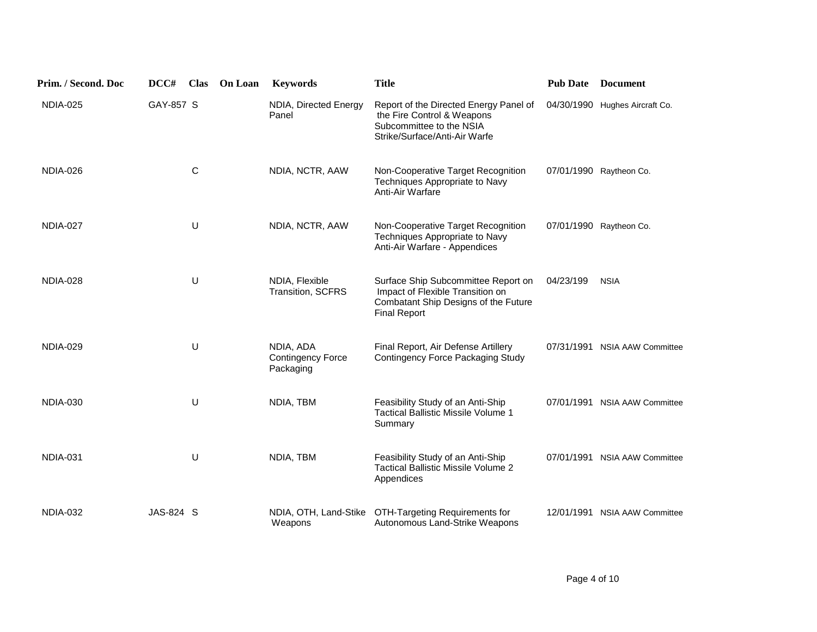| Prim. / Second. Doc | DCC#             | <b>Clas</b> | <b>On Loan</b> | <b>Keywords</b>                                    | <b>Title</b>                                                                                                                           | <b>Pub Date</b> | <b>Document</b>                |
|---------------------|------------------|-------------|----------------|----------------------------------------------------|----------------------------------------------------------------------------------------------------------------------------------------|-----------------|--------------------------------|
| <b>NDIA-025</b>     | GAY-857 S        |             |                | NDIA, Directed Energy<br>Panel                     | Report of the Directed Energy Panel of<br>the Fire Control & Weapons<br>Subcommittee to the NSIA<br>Strike/Surface/Anti-Air Warfe      |                 | 04/30/1990 Hughes Aircraft Co. |
| NDIA-026            |                  | $\mathsf C$ |                | NDIA, NCTR, AAW                                    | Non-Cooperative Target Recognition<br>Techniques Appropriate to Navy<br>Anti-Air Warfare                                               |                 | 07/01/1990 Raytheon Co.        |
| NDIA-027            |                  | U           |                | NDIA, NCTR, AAW                                    | Non-Cooperative Target Recognition<br>Techniques Appropriate to Navy<br>Anti-Air Warfare - Appendices                                  |                 | 07/01/1990 Raytheon Co.        |
| <b>NDIA-028</b>     |                  | U           |                | NDIA, Flexible<br>Transition, SCFRS                | Surface Ship Subcommittee Report on<br>Impact of Flexible Transition on<br>Combatant Ship Designs of the Future<br><b>Final Report</b> | 04/23/199       | <b>NSIA</b>                    |
| <b>NDIA-029</b>     |                  | U           |                | NDIA, ADA<br><b>Contingency Force</b><br>Packaging | Final Report, Air Defense Artillery<br>Contingency Force Packaging Study                                                               |                 | 07/31/1991 NSIA AAW Committee  |
| <b>NDIA-030</b>     |                  | U           |                | NDIA, TBM                                          | Feasibility Study of an Anti-Ship<br>Tactical Ballistic Missile Volume 1<br>Summary                                                    |                 | 07/01/1991 NSIA AAW Committee  |
| <b>NDIA-031</b>     |                  | U           |                | NDIA, TBM                                          | Feasibility Study of an Anti-Ship<br><b>Tactical Ballistic Missile Volume 2</b><br>Appendices                                          |                 | 07/01/1991 NSIA AAW Committee  |
| <b>NDIA-032</b>     | <b>JAS-824 S</b> |             |                | NDIA, OTH, Land-Stike<br>Weapons                   | OTH-Targeting Requirements for<br>Autonomous Land-Strike Weapons                                                                       | 12/01/1991      | <b>NSIA AAW Committee</b>      |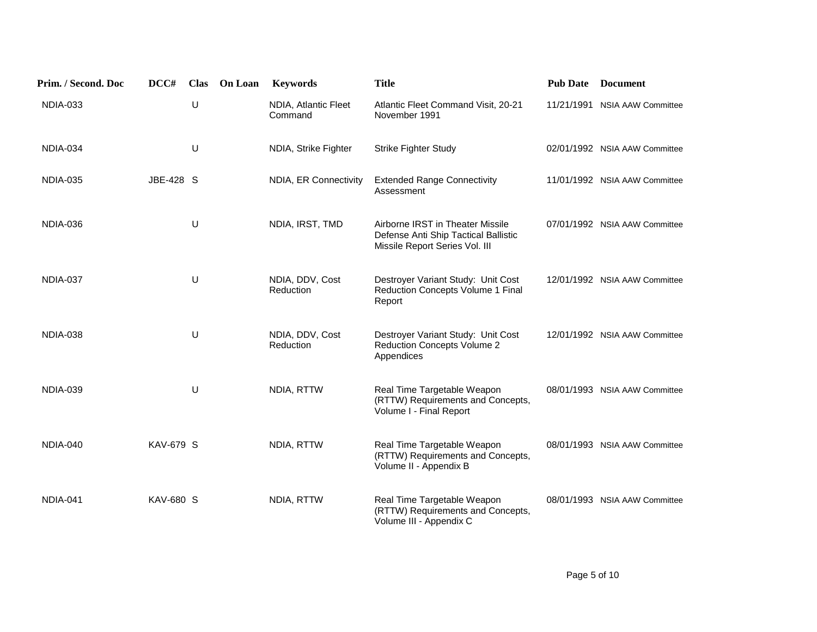| Prim. / Second. Doc | DCC#             | <b>Clas</b> | On Loan | <b>Keywords</b>                 | <b>Title</b>                                                                                               | <b>Pub Date</b> | <b>Document</b>               |
|---------------------|------------------|-------------|---------|---------------------------------|------------------------------------------------------------------------------------------------------------|-----------------|-------------------------------|
| <b>NDIA-033</b>     |                  | U           |         | NDIA, Atlantic Fleet<br>Command | Atlantic Fleet Command Visit, 20-21<br>November 1991                                                       | 11/21/1991      | <b>NSIA AAW Committee</b>     |
| <b>NDIA-034</b>     |                  | U           |         | NDIA, Strike Fighter            | <b>Strike Fighter Study</b>                                                                                |                 | 02/01/1992 NSIA AAW Committee |
| <b>NDIA-035</b>     | JBE-428 S        |             |         | NDIA, ER Connectivity           | <b>Extended Range Connectivity</b><br>Assessment                                                           |                 | 11/01/1992 NSIA AAW Committee |
| NDIA-036            |                  | U           |         | NDIA, IRST, TMD                 | Airborne IRST in Theater Missile<br>Defense Anti Ship Tactical Ballistic<br>Missile Report Series Vol. III |                 | 07/01/1992 NSIA AAW Committee |
| NDIA-037            |                  | U           |         | NDIA, DDV, Cost<br>Reduction    | Destroyer Variant Study: Unit Cost<br>Reduction Concepts Volume 1 Final<br>Report                          |                 | 12/01/1992 NSIA AAW Committee |
| NDIA-038            |                  | U           |         | NDIA, DDV, Cost<br>Reduction    | Destroyer Variant Study: Unit Cost<br><b>Reduction Concepts Volume 2</b><br>Appendices                     |                 | 12/01/1992 NSIA AAW Committee |
| <b>NDIA-039</b>     |                  | U           |         | NDIA, RTTW                      | Real Time Targetable Weapon<br>(RTTW) Requirements and Concepts,<br>Volume I - Final Report                |                 | 08/01/1993 NSIA AAW Committee |
| NDIA-040            | <b>KAV-679 S</b> |             |         | NDIA, RTTW                      | Real Time Targetable Weapon<br>(RTTW) Requirements and Concepts,<br>Volume II - Appendix B                 |                 | 08/01/1993 NSIA AAW Committee |
| NDIA-041            | KAV-680 S        |             |         | NDIA, RTTW                      | Real Time Targetable Weapon<br>(RTTW) Requirements and Concepts,<br>Volume III - Appendix C                |                 | 08/01/1993 NSIA AAW Committee |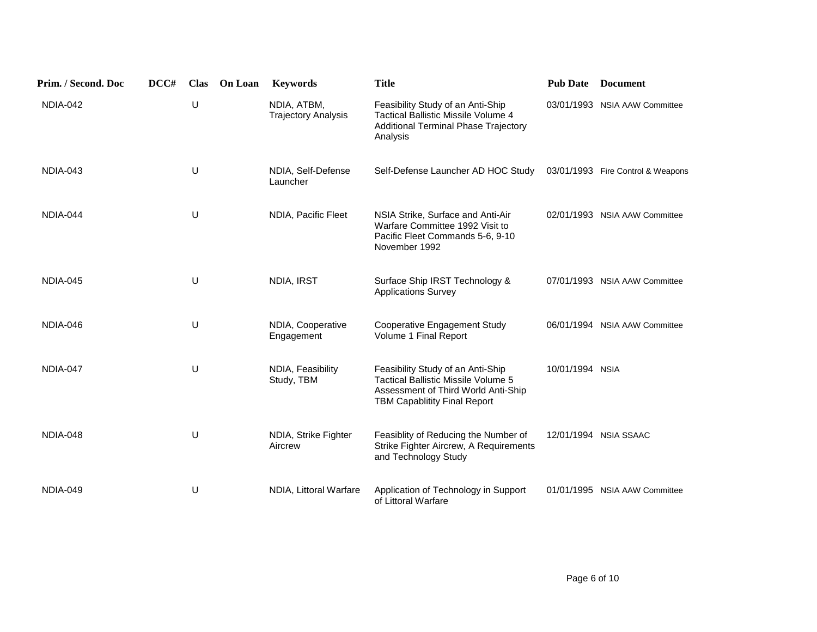| Prim. / Second. Doc | DCC# | <b>Clas</b> | On Loan | <b>Keywords</b>                           | <b>Title</b>                                                                                                                                           | <b>Pub Date</b> | <b>Document</b>                   |
|---------------------|------|-------------|---------|-------------------------------------------|--------------------------------------------------------------------------------------------------------------------------------------------------------|-----------------|-----------------------------------|
| NDIA-042            |      | U           |         | NDIA, ATBM,<br><b>Trajectory Analysis</b> | Feasibility Study of an Anti-Ship<br><b>Tactical Ballistic Missile Volume 4</b><br>Additional Terminal Phase Trajectory<br>Analysis                    |                 | 03/01/1993 NSIA AAW Committee     |
| NDIA-043            |      | U           |         | NDIA, Self-Defense<br>Launcher            | Self-Defense Launcher AD HOC Study                                                                                                                     |                 | 03/01/1993 Fire Control & Weapons |
| NDIA-044            |      | U           |         | NDIA, Pacific Fleet                       | NSIA Strike, Surface and Anti-Air<br>Warfare Committee 1992 Visit to<br>Pacific Fleet Commands 5-6, 9-10<br>November 1992                              |                 | 02/01/1993 NSIA AAW Committee     |
| NDIA-045            |      | U           |         | NDIA, IRST                                | Surface Ship IRST Technology &<br><b>Applications Survey</b>                                                                                           |                 | 07/01/1993 NSIA AAW Committee     |
| NDIA-046            |      | U           |         | NDIA, Cooperative<br>Engagement           | Cooperative Engagement Study<br>Volume 1 Final Report                                                                                                  |                 | 06/01/1994 NSIA AAW Committee     |
| NDIA-047            |      | $\sf U$     |         | NDIA, Feasibility<br>Study, TBM           | Feasibility Study of an Anti-Ship<br>Tactical Ballistic Missile Volume 5<br>Assessment of Third World Anti-Ship<br><b>TBM Capablitity Final Report</b> | 10/01/1994 NSIA |                                   |
| NDIA-048            |      | U           |         | NDIA, Strike Fighter<br>Aircrew           | Feasiblity of Reducing the Number of<br>Strike Fighter Aircrew, A Requirements<br>and Technology Study                                                 |                 | 12/01/1994 NSIA SSAAC             |
| NDIA-049            |      | U           |         | NDIA, Littoral Warfare                    | Application of Technology in Support<br>of Littoral Warfare                                                                                            | 01/01/1995      | <b>NSIA AAW Committee</b>         |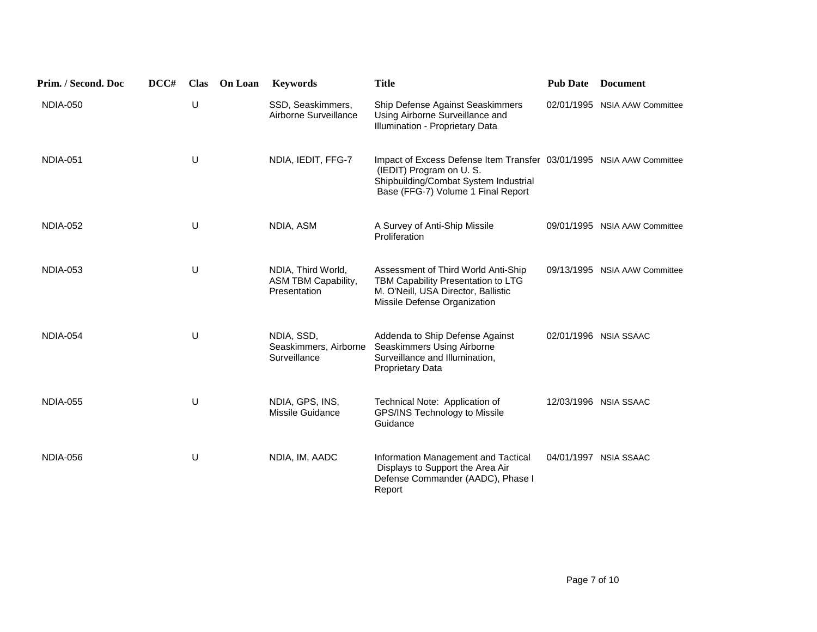| Prim. / Second. Doc | DCC# | <b>Clas</b> | <b>On Loan</b> | <b>Keywords</b>                                           | <b>Title</b>                                                                                                                                                                   | <b>Pub Date</b> | <b>Document</b>               |
|---------------------|------|-------------|----------------|-----------------------------------------------------------|--------------------------------------------------------------------------------------------------------------------------------------------------------------------------------|-----------------|-------------------------------|
| <b>NDIA-050</b>     |      | U           |                | SSD, Seaskimmers,<br>Airborne Surveillance                | Ship Defense Against Seaskimmers<br>Using Airborne Surveillance and<br>Illumination - Proprietary Data                                                                         |                 | 02/01/1995 NSIA AAW Committee |
| <b>NDIA-051</b>     |      | U           |                | NDIA, IEDIT, FFG-7                                        | Impact of Excess Defense Item Transfer 03/01/1995 NSIA AAW Committee<br>(IEDIT) Program on U.S.<br>Shipbuilding/Combat System Industrial<br>Base (FFG-7) Volume 1 Final Report |                 |                               |
| <b>NDIA-052</b>     |      | U           |                | NDIA, ASM                                                 | A Survey of Anti-Ship Missile<br>Proliferation                                                                                                                                 |                 | 09/01/1995 NSIA AAW Committee |
| <b>NDIA-053</b>     |      | U           |                | NDIA, Third World,<br>ASM TBM Capability,<br>Presentation | Assessment of Third World Anti-Ship<br>TBM Capability Presentation to LTG<br>M. O'Neill, USA Director, Ballistic<br>Missile Defense Organization                               |                 | 09/13/1995 NSIA AAW Committee |
| <b>NDIA-054</b>     |      | U           |                | NDIA, SSD,<br>Seaskimmers, Airborne<br>Surveillance       | Addenda to Ship Defense Against<br>Seaskimmers Using Airborne<br>Surveillance and Illumination,<br><b>Proprietary Data</b>                                                     |                 | 02/01/1996 NSIA SSAAC         |
| <b>NDIA-055</b>     |      | U           |                | NDIA, GPS, INS,<br>Missile Guidance                       | Technical Note: Application of<br>GPS/INS Technology to Missile<br>Guidance                                                                                                    |                 | 12/03/1996 NSIA SSAAC         |
| <b>NDIA-056</b>     |      | U           |                | NDIA, IM, AADC                                            | Information Management and Tactical<br>Displays to Support the Area Air<br>Defense Commander (AADC), Phase I<br>Report                                                         |                 | 04/01/1997 NSIA SSAAC         |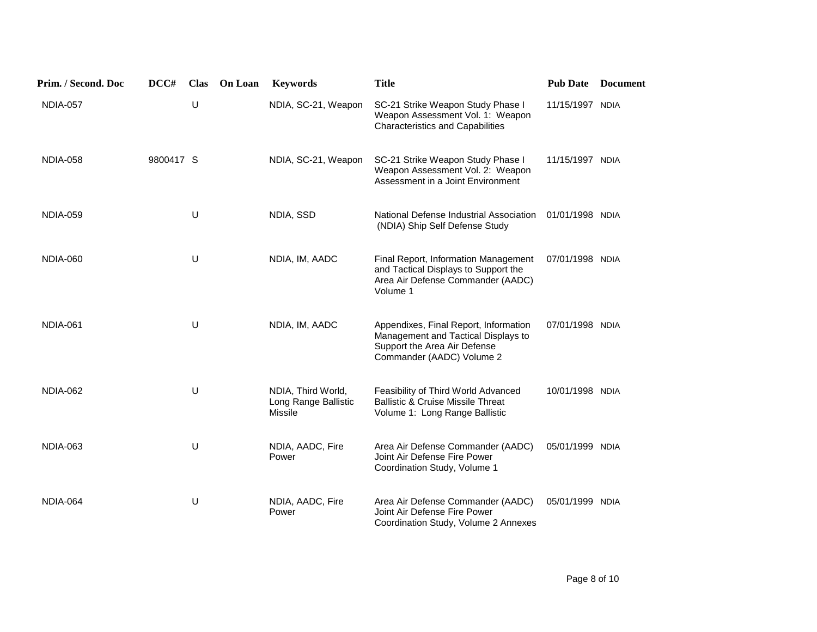| Prim. / Second. Doc | DCC#      | <b>Clas</b> | On Loan | <b>Keywords</b>                                       | <b>Title</b>                                                                                                                              | <b>Pub Date</b> | <b>Document</b> |
|---------------------|-----------|-------------|---------|-------------------------------------------------------|-------------------------------------------------------------------------------------------------------------------------------------------|-----------------|-----------------|
| <b>NDIA-057</b>     |           | U           |         | NDIA, SC-21, Weapon                                   | SC-21 Strike Weapon Study Phase I<br>Weapon Assessment Vol. 1: Weapon<br><b>Characteristics and Capabilities</b>                          | 11/15/1997 NDIA |                 |
| <b>NDIA-058</b>     | 9800417 S |             |         | NDIA, SC-21, Weapon                                   | SC-21 Strike Weapon Study Phase I<br>Weapon Assessment Vol. 2: Weapon<br>Assessment in a Joint Environment                                | 11/15/1997 NDIA |                 |
| <b>NDIA-059</b>     |           | U           |         | NDIA, SSD                                             | National Defense Industrial Association<br>(NDIA) Ship Self Defense Study                                                                 | 01/01/1998 NDIA |                 |
| NDIA-060            |           | U           |         | NDIA, IM, AADC                                        | Final Report, Information Management<br>and Tactical Displays to Support the<br>Area Air Defense Commander (AADC)<br>Volume 1             | 07/01/1998 NDIA |                 |
| NDIA-061            |           | $\cup$      |         | NDIA, IM, AADC                                        | Appendixes, Final Report, Information<br>Management and Tactical Displays to<br>Support the Area Air Defense<br>Commander (AADC) Volume 2 | 07/01/1998 NDIA |                 |
| <b>NDIA-062</b>     |           | U           |         | NDIA, Third World,<br>Long Range Ballistic<br>Missile | Feasibility of Third World Advanced<br><b>Ballistic &amp; Cruise Missile Threat</b><br>Volume 1: Long Range Ballistic                     | 10/01/1998 NDIA |                 |
| <b>NDIA-063</b>     |           | U           |         | NDIA, AADC, Fire<br>Power                             | Area Air Defense Commander (AADC)<br>Joint Air Defense Fire Power<br>Coordination Study, Volume 1                                         | 05/01/1999 NDIA |                 |
| NDIA-064            |           | U           |         | NDIA, AADC, Fire<br>Power                             | Area Air Defense Commander (AADC)<br>Joint Air Defense Fire Power<br>Coordination Study, Volume 2 Annexes                                 | 05/01/1999 NDIA |                 |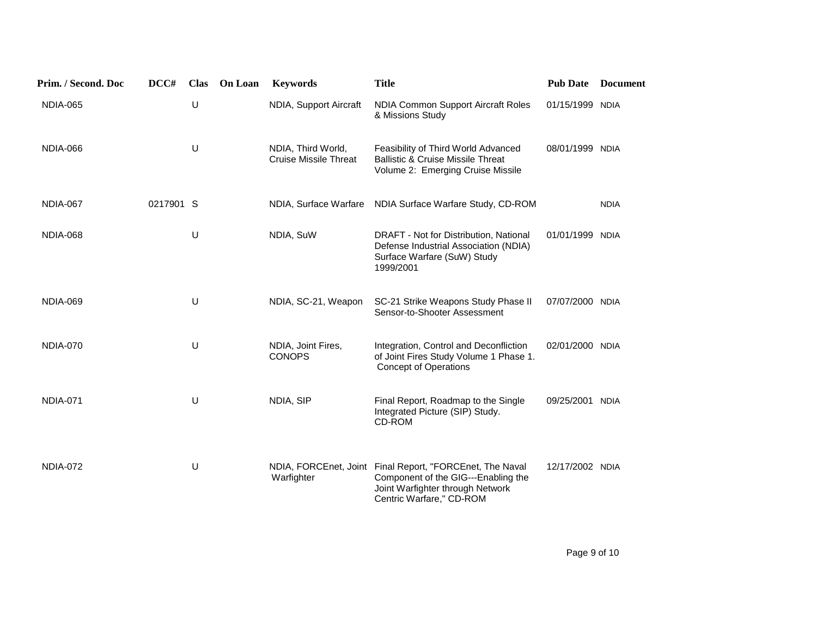| Prim. / Second. Doc | DCC#      | <b>Clas</b> | On Loan | <b>Keywords</b>                                    | <b>Title</b>                                                                                                                                                    | <b>Pub Date</b> | <b>Document</b> |
|---------------------|-----------|-------------|---------|----------------------------------------------------|-----------------------------------------------------------------------------------------------------------------------------------------------------------------|-----------------|-----------------|
| <b>NDIA-065</b>     |           | U           |         | NDIA, Support Aircraft                             | NDIA Common Support Aircraft Roles<br>& Missions Study                                                                                                          | 01/15/1999 NDIA |                 |
| NDIA-066            |           | U           |         | NDIA, Third World,<br><b>Cruise Missile Threat</b> | Feasibility of Third World Advanced<br><b>Ballistic &amp; Cruise Missile Threat</b><br>Volume 2: Emerging Cruise Missile                                        | 08/01/1999 NDIA |                 |
| NDIA-067            | 0217901 S |             |         | NDIA, Surface Warfare                              | NDIA Surface Warfare Study, CD-ROM                                                                                                                              |                 | <b>NDIA</b>     |
| NDIA-068            |           | U           |         | NDIA, SuW                                          | DRAFT - Not for Distribution, National<br>Defense Industrial Association (NDIA)<br>Surface Warfare (SuW) Study<br>1999/2001                                     | 01/01/1999 NDIA |                 |
| NDIA-069            |           | U           |         | NDIA, SC-21, Weapon                                | SC-21 Strike Weapons Study Phase II<br>Sensor-to-Shooter Assessment                                                                                             | 07/07/2000 NDIA |                 |
| <b>NDIA-070</b>     |           | U           |         | NDIA, Joint Fires,<br><b>CONOPS</b>                | Integration, Control and Deconfliction<br>of Joint Fires Study Volume 1 Phase 1.<br><b>Concept of Operations</b>                                                | 02/01/2000 NDIA |                 |
| <b>NDIA-071</b>     |           | U           |         | NDIA, SIP                                          | Final Report, Roadmap to the Single<br>Integrated Picture (SIP) Study.<br>CD-ROM                                                                                | 09/25/2001 NDIA |                 |
| <b>NDIA-072</b>     |           | U           |         | Warfighter                                         | NDIA, FORCEnet, Joint Final Report, "FORCEnet, The Naval<br>Component of the GIG---Enabling the<br>Joint Warfighter through Network<br>Centric Warfare," CD-ROM | 12/17/2002 NDIA |                 |

 $\,$  Page 9 of 10  $\,$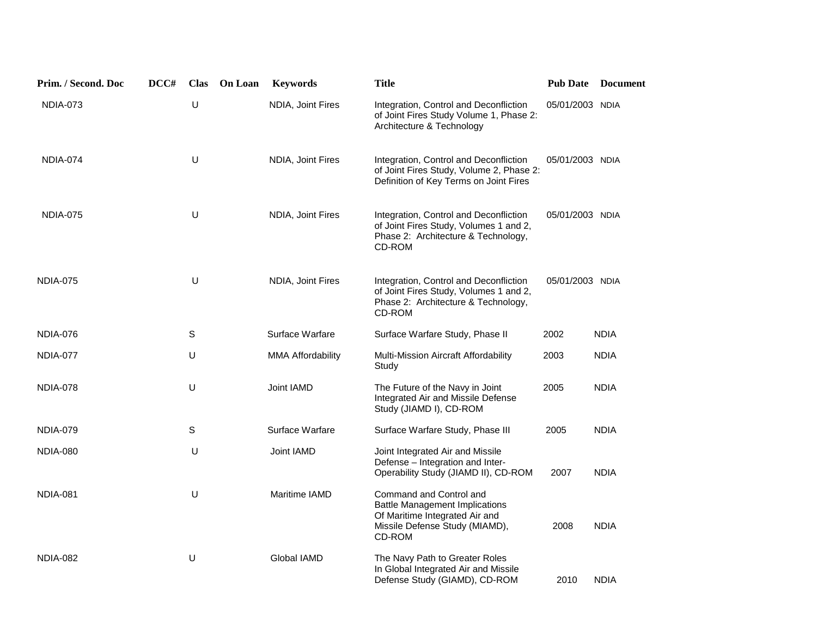| Prim. / Second. Doc | DCC# | <b>Clas</b> | On Loan | <b>Keywords</b>   | <b>Title</b>                                                                                                                                   |                 | <b>Pub Date Document</b> |
|---------------------|------|-------------|---------|-------------------|------------------------------------------------------------------------------------------------------------------------------------------------|-----------------|--------------------------|
| <b>NDIA-073</b>     |      | $\sf U$     |         | NDIA, Joint Fires | Integration, Control and Deconfliction<br>of Joint Fires Study Volume 1, Phase 2:<br>Architecture & Technology                                 | 05/01/2003 NDIA |                          |
| NDIA-074            |      | $\cup$      |         | NDIA, Joint Fires | Integration, Control and Deconfliction<br>of Joint Fires Study, Volume 2, Phase 2:<br>Definition of Key Terms on Joint Fires                   | 05/01/2003 NDIA |                          |
| <b>NDIA-075</b>     |      | U           |         | NDIA, Joint Fires | Integration, Control and Deconfliction<br>of Joint Fires Study, Volumes 1 and 2,<br>Phase 2: Architecture & Technology,<br>CD-ROM              | 05/01/2003 NDIA |                          |
| <b>NDIA-075</b>     |      | $\cup$      |         | NDIA, Joint Fires | Integration, Control and Deconfliction<br>of Joint Fires Study, Volumes 1 and 2,<br>Phase 2: Architecture & Technology,<br>CD-ROM              | 05/01/2003 NDIA |                          |
| <b>NDIA-076</b>     |      | S           |         | Surface Warfare   | Surface Warfare Study, Phase II                                                                                                                | 2002            | <b>NDIA</b>              |
| NDIA-077            |      | U           |         | MMA Affordability | Multi-Mission Aircraft Affordability<br>Study                                                                                                  | 2003            | <b>NDIA</b>              |
| <b>NDIA-078</b>     |      | U           |         | Joint IAMD        | The Future of the Navy in Joint<br>Integrated Air and Missile Defense<br>Study (JIAMD I), CD-ROM                                               | 2005            | <b>NDIA</b>              |
| <b>NDIA-079</b>     |      | S           |         | Surface Warfare   | Surface Warfare Study, Phase III                                                                                                               | 2005            | <b>NDIA</b>              |
| <b>NDIA-080</b>     |      | U           |         | Joint IAMD        | Joint Integrated Air and Missile<br>Defense - Integration and Inter-<br>Operability Study (JIAMD II), CD-ROM                                   | 2007            | <b>NDIA</b>              |
| NDIA-081            |      | U           |         | Maritime IAMD     | Command and Control and<br><b>Battle Management Implications</b><br>Of Maritime Integrated Air and<br>Missile Defense Study (MIAMD),<br>CD-ROM | 2008            | <b>NDIA</b>              |
| <b>NDIA-082</b>     |      | U           |         | Global IAMD       | The Navy Path to Greater Roles<br>In Global Integrated Air and Missile<br>Defense Study (GIAMD), CD-ROM                                        | 2010            | <b>NDIA</b>              |